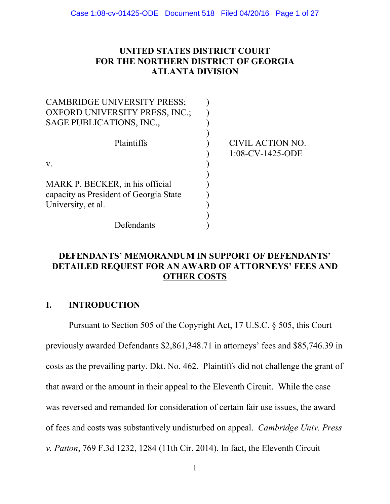### **UNITED STATES DISTRICT COURT FOR THE NORTHERN DISTRICT OF GEORGIA ATLANTA DIVISION**

| <b>CAMBRIDGE UNIVERSITY PRESS;</b><br><b>OXFORD UNIVERSITY PRESS, INC.;</b>                     |                                         |
|-------------------------------------------------------------------------------------------------|-----------------------------------------|
| SAGE PUBLICATIONS, INC.,                                                                        |                                         |
| Plaintiffs                                                                                      | CIVIL ACTION NO.<br>$1:08$ -CV-1425-ODE |
| V.                                                                                              |                                         |
| MARK P. BECKER, in his official<br>capacity as President of Georgia State<br>University, et al. |                                         |
| Defendants                                                                                      |                                         |

## **DEFENDANTS' MEMORANDUM IN SUPPORT OF DEFENDANTS' DETAILED REQUEST FOR AN AWARD OF ATTORNEYS' FEES AND OTHER COSTS**

## **I. INTRODUCTION**

Pursuant to Section 505 of the Copyright Act, 17 U.S.C. § 505, this Court previously awarded Defendants \$2,861,348.71 in attorneys' fees and \$85,746.39 in costs as the prevailing party. Dkt. No. 462. Plaintiffs did not challenge the grant of that award or the amount in their appeal to the Eleventh Circuit. While the case was reversed and remanded for consideration of certain fair use issues, the award of fees and costs was substantively undisturbed on appeal. *Cambridge Univ. Press v. Patton*, 769 F.3d 1232, 1284 (11th Cir. 2014). In fact, the Eleventh Circuit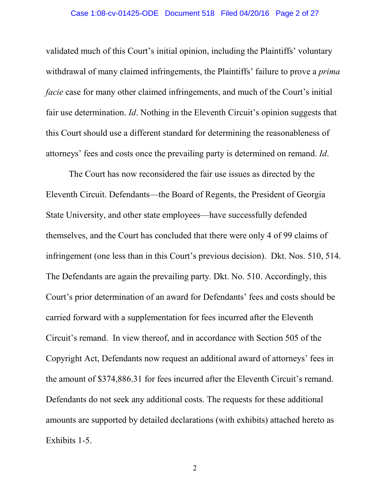validated much of this Court's initial opinion, including the Plaintiffs' voluntary withdrawal of many claimed infringements, the Plaintiffs' failure to prove a *prima facie* case for many other claimed infringements, and much of the Court's initial fair use determination. *Id*. Nothing in the Eleventh Circuit's opinion suggests that this Court should use a different standard for determining the reasonableness of attorneys' fees and costs once the prevailing party is determined on remand. *Id*.

The Court has now reconsidered the fair use issues as directed by the Eleventh Circuit. Defendants—the Board of Regents, the President of Georgia State University, and other state employees—have successfully defended themselves, and the Court has concluded that there were only 4 of 99 claims of infringement (one less than in this Court's previous decision). Dkt. Nos. 510, 514. The Defendants are again the prevailing party. Dkt. No. 510. Accordingly, this Court's prior determination of an award for Defendants' fees and costs should be carried forward with a supplementation for fees incurred after the Eleventh Circuit's remand. In view thereof, and in accordance with Section 505 of the Copyright Act, Defendants now request an additional award of attorneys' fees in the amount of \$374,886.31 for fees incurred after the Eleventh Circuit's remand. Defendants do not seek any additional costs. The requests for these additional amounts are supported by detailed declarations (with exhibits) attached hereto as Exhibits 1-5.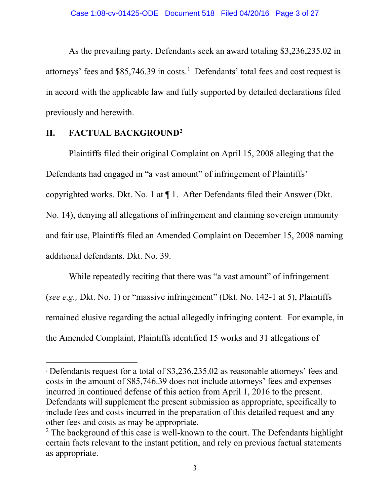As the prevailing party, Defendants seek an award totaling \$3,236,235.02 in attorneys' fees and  $$85,746.39$  in costs.<sup>[1](#page-2-0)</sup> Defendants' total fees and cost request is in accord with the applicable law and fully supported by detailed declarations filed previously and herewith.

### **II. FACTUAL BACKGROUND[2](#page-2-1)**

 $\overline{a}$ 

Plaintiffs filed their original Complaint on April 15, 2008 alleging that the Defendants had engaged in "a vast amount" of infringement of Plaintiffs' copyrighted works. Dkt. No. 1 at ¶ 1. After Defendants filed their Answer (Dkt. No. 14), denying all allegations of infringement and claiming sovereign immunity and fair use, Plaintiffs filed an Amended Complaint on December 15, 2008 naming additional defendants. Dkt. No. 39.

While repeatedly reciting that there was "a vast amount" of infringement (*see e.g.,* Dkt. No. 1) or "massive infringement" (Dkt. No. 142-1 at 5), Plaintiffs remained elusive regarding the actual allegedly infringing content. For example, in the Amended Complaint, Plaintiffs identified 15 works and 31 allegations of

<span id="page-2-0"></span><sup>1</sup> Defendants request for a total of \$3,236,235.02 as reasonable attorneys' fees and costs in the amount of \$85,746.39 does not include attorneys' fees and expenses incurred in continued defense of this action from April 1, 2016 to the present. Defendants will supplement the present submission as appropriate, specifically to include fees and costs incurred in the preparation of this detailed request and any other fees and costs as may be appropriate.

<span id="page-2-1"></span><sup>&</sup>lt;sup>2</sup> The background of this case is well-known to the court. The Defendants highlight certain facts relevant to the instant petition, and rely on previous factual statements as appropriate.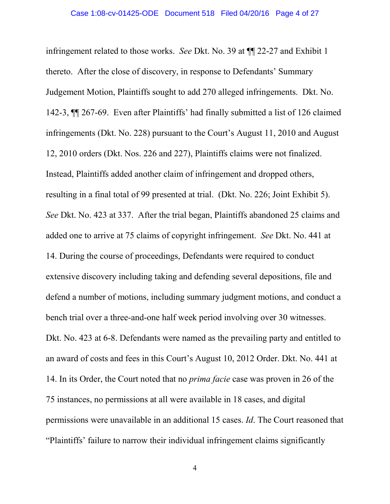infringement related to those works. *See* Dkt. No. 39 at ¶¶ 22-27 and Exhibit 1 thereto. After the close of discovery, in response to Defendants' Summary Judgement Motion, Plaintiffs sought to add 270 alleged infringements. Dkt. No. 142-3, ¶¶ 267-69. Even after Plaintiffs' had finally submitted a list of 126 claimed infringements (Dkt. No. 228) pursuant to the Court's August 11, 2010 and August 12, 2010 orders (Dkt. Nos. 226 and 227), Plaintiffs claims were not finalized. Instead, Plaintiffs added another claim of infringement and dropped others, resulting in a final total of 99 presented at trial. (Dkt. No. 226; Joint Exhibit 5). *See* Dkt. No. 423 at 337. After the trial began, Plaintiffs abandoned 25 claims and added one to arrive at 75 claims of copyright infringement. *See* Dkt. No. 441 at 14. During the course of proceedings, Defendants were required to conduct extensive discovery including taking and defending several depositions, file and defend a number of motions, including summary judgment motions, and conduct a bench trial over a three-and-one half week period involving over 30 witnesses. Dkt. No. 423 at 6-8. Defendants were named as the prevailing party and entitled to an award of costs and fees in this Court's August 10, 2012 Order. Dkt. No. 441 at 14. In its Order, the Court noted that no *prima facie* case was proven in 26 of the 75 instances, no permissions at all were available in 18 cases, and digital permissions were unavailable in an additional 15 cases. *Id*. The Court reasoned that "Plaintiffs' failure to narrow their individual infringement claims significantly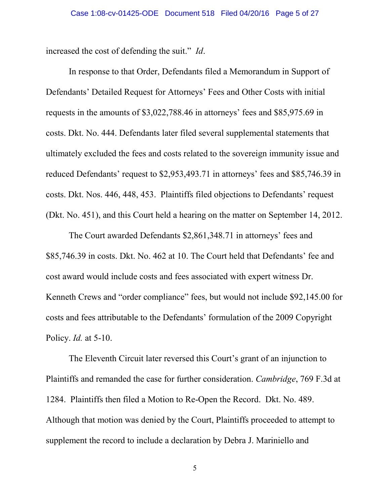increased the cost of defending the suit." *Id*.

In response to that Order, Defendants filed a Memorandum in Support of Defendants' Detailed Request for Attorneys' Fees and Other Costs with initial requests in the amounts of \$3,022,788.46 in attorneys' fees and \$85,975.69 in costs. Dkt. No. 444. Defendants later filed several supplemental statements that ultimately excluded the fees and costs related to the sovereign immunity issue and reduced Defendants' request to \$2,953,493.71 in attorneys' fees and \$85,746.39 in costs. Dkt. Nos. 446, 448, 453. Plaintiffs filed objections to Defendants' request (Dkt. No. 451), and this Court held a hearing on the matter on September 14, 2012.

The Court awarded Defendants \$2,861,348.71 in attorneys' fees and \$85,746.39 in costs. Dkt. No. 462 at 10. The Court held that Defendants' fee and cost award would include costs and fees associated with expert witness Dr. Kenneth Crews and "order compliance" fees, but would not include \$92,145.00 for costs and fees attributable to the Defendants' formulation of the 2009 Copyright Policy. *Id.* at 5-10.

The Eleventh Circuit later reversed this Court's grant of an injunction to Plaintiffs and remanded the case for further consideration. *Cambridge*, 769 F.3d at 1284. Plaintiffs then filed a Motion to Re-Open the Record. Dkt. No. 489. Although that motion was denied by the Court, Plaintiffs proceeded to attempt to supplement the record to include a declaration by Debra J. Mariniello and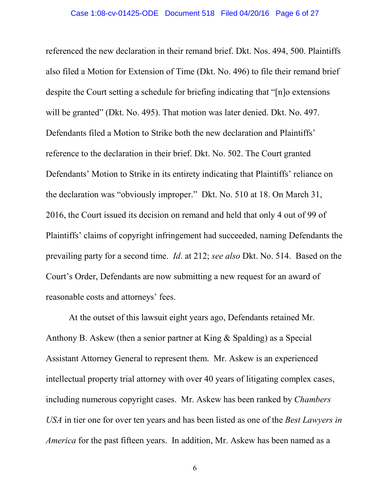#### Case 1:08-cv-01425-ODE Document 518 Filed 04/20/16 Page 6 of 27

referenced the new declaration in their remand brief. Dkt. Nos. 494, 500. Plaintiffs also filed a Motion for Extension of Time (Dkt. No. 496) to file their remand brief despite the Court setting a schedule for briefing indicating that "[n]o extensions will be granted" (Dkt. No. 495). That motion was later denied. Dkt. No. 497. Defendants filed a Motion to Strike both the new declaration and Plaintiffs' reference to the declaration in their brief. Dkt. No. 502. The Court granted Defendants' Motion to Strike in its entirety indicating that Plaintiffs' reliance on the declaration was "obviously improper." Dkt. No. 510 at 18. On March 31, 2016, the Court issued its decision on remand and held that only 4 out of 99 of Plaintiffs' claims of copyright infringement had succeeded, naming Defendants the prevailing party for a second time. *Id*. at 212; *see also* Dkt. No. 514. Based on the Court's Order, Defendants are now submitting a new request for an award of reasonable costs and attorneys' fees.

At the outset of this lawsuit eight years ago, Defendants retained Mr. Anthony B. Askew (then a senior partner at King & Spalding) as a Special Assistant Attorney General to represent them. Mr. Askew is an experienced intellectual property trial attorney with over 40 years of litigating complex cases, including numerous copyright cases. Mr. Askew has been ranked by *Chambers USA* in tier one for over ten years and has been listed as one of the *Best Lawyers in America* for the past fifteen years. In addition, Mr. Askew has been named as a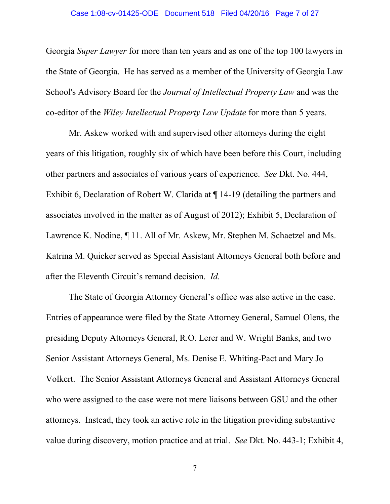### Case 1:08-cv-01425-ODE Document 518 Filed 04/20/16 Page 7 of 27

Georgia *Super Lawyer* for more than ten years and as one of the top 100 lawyers in the State of Georgia. He has served as a member of the University of Georgia Law School's Advisory Board for the *Journal of Intellectual Property Law* and was the co-editor of the *Wiley Intellectual Property Law Update* for more than 5 years.

Mr. Askew worked with and supervised other attorneys during the eight years of this litigation, roughly six of which have been before this Court, including other partners and associates of various years of experience. *See* Dkt. No. 444, Exhibit 6, Declaration of Robert W. Clarida at ¶ 14-19 (detailing the partners and associates involved in the matter as of August of 2012); Exhibit 5, Declaration of Lawrence K. Nodine, ¶ 11. All of Mr. Askew, Mr. Stephen M. Schaetzel and Ms. Katrina M. Quicker served as Special Assistant Attorneys General both before and after the Eleventh Circuit's remand decision. *Id.* 

The State of Georgia Attorney General's office was also active in the case. Entries of appearance were filed by the State Attorney General, Samuel Olens, the presiding Deputy Attorneys General, R.O. Lerer and W. Wright Banks, and two Senior Assistant Attorneys General, Ms. Denise E. Whiting-Pact and Mary Jo Volkert. The Senior Assistant Attorneys General and Assistant Attorneys General who were assigned to the case were not mere liaisons between GSU and the other attorneys. Instead, they took an active role in the litigation providing substantive value during discovery, motion practice and at trial. *See* Dkt. No. 443-1; Exhibit 4,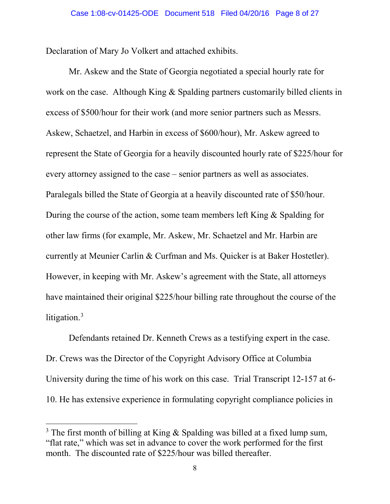Declaration of Mary Jo Volkert and attached exhibits.

Mr. Askew and the State of Georgia negotiated a special hourly rate for work on the case. Although King & Spalding partners customarily billed clients in excess of \$500/hour for their work (and more senior partners such as Messrs. Askew, Schaetzel, and Harbin in excess of \$600/hour), Mr. Askew agreed to represent the State of Georgia for a heavily discounted hourly rate of \$225/hour for every attorney assigned to the case – senior partners as well as associates. Paralegals billed the State of Georgia at a heavily discounted rate of \$50/hour. During the course of the action, some team members left King & Spalding for other law firms (for example, Mr. Askew, Mr. Schaetzel and Mr. Harbin are currently at Meunier Carlin & Curfman and Ms. Quicker is at Baker Hostetler). However, in keeping with Mr. Askew's agreement with the State, all attorneys have maintained their original \$225/hour billing rate throughout the course of the litigation.<sup>[3](#page-7-0)</sup>

Defendants retained Dr. Kenneth Crews as a testifying expert in the case. Dr. Crews was the Director of the Copyright Advisory Office at Columbia University during the time of his work on this case. Trial Transcript 12-157 at 6- 10. He has extensive experience in formulating copyright compliance policies in

<span id="page-7-0"></span><sup>&</sup>lt;sup>3</sup> The first month of billing at King & Spalding was billed at a fixed lump sum, "flat rate," which was set in advance to cover the work performed for the first month. The discounted rate of \$225/hour was billed thereafter.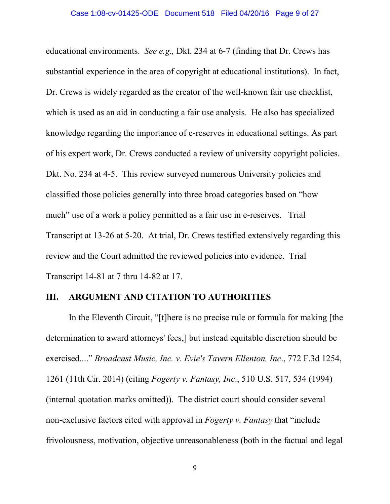educational environments. *See e.g.,* Dkt. 234 at 6-7 (finding that Dr. Crews has substantial experience in the area of copyright at educational institutions). In fact, Dr. Crews is widely regarded as the creator of the well-known fair use checklist, which is used as an aid in conducting a fair use analysis. He also has specialized knowledge regarding the importance of e-reserves in educational settings. As part of his expert work, Dr. Crews conducted a review of university copyright policies. Dkt. No. 234 at 4-5. This review surveyed numerous University policies and classified those policies generally into three broad categories based on "how much" use of a work a policy permitted as a fair use in e-reserves. Trial Transcript at 13-26 at 5-20. At trial, Dr. Crews testified extensively regarding this review and the Court admitted the reviewed policies into evidence. Trial Transcript 14-81 at 7 thru 14-82 at 17.

### **III. ARGUMENT AND CITATION TO AUTHORITIES**

In the Eleventh Circuit, "[t]here is no precise rule or formula for making [the determination to award attorneys' fees,] but instead equitable discretion should be exercised...." *Broadcast Music, Inc. v. Evie's Tavern Ellenton, Inc*., 772 F.3d 1254, 1261 (11th Cir. 2014) (citing *Fogerty v. Fantasy, Inc*., 510 U.S. 517, 534 (1994) (internal quotation marks omitted)). The district court should consider several non-exclusive factors cited with approval in *Fogerty v. Fantasy* that "include frivolousness, motivation, objective unreasonableness (both in the factual and legal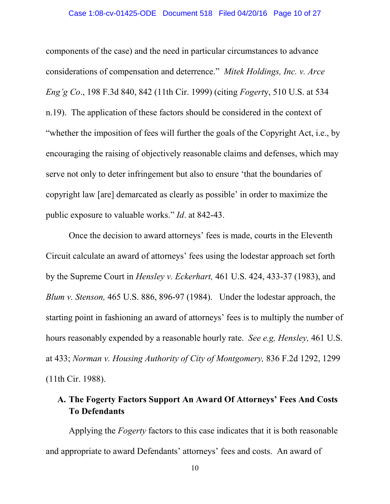components of the case) and the need in particular circumstances to advance considerations of compensation and deterrence." *Mitek Holdings, Inc. v. Arce Eng'g Co*., 198 F.3d 840, 842 (11th Cir. 1999) (citing *Fogert*y, 510 U.S. at 534 n.19). The application of these factors should be considered in the context of "whether the imposition of fees will further the goals of the Copyright Act, i.e., by encouraging the raising of objectively reasonable claims and defenses, which may serve not only to deter infringement but also to ensure 'that the boundaries of copyright law [are] demarcated as clearly as possible' in order to maximize the public exposure to valuable works." *Id*. at 842-43.

Once the decision to award attorneys' fees is made, courts in the Eleventh Circuit calculate an award of attorneys' fees using the lodestar approach set forth by the Supreme Court in *Hensley v. Eckerhart,* 461 U.S. 424, 433-37 (1983), and *Blum v. Stenson,* 465 U.S. 886, 896-97 (1984). Under the lodestar approach, the starting point in fashioning an award of attorneys' fees is to multiply the number of hours reasonably expended by a reasonable hourly rate. *See e.g, Hensley,* 461 U.S. at 433; *Norman v. Housing Authority of City of Montgomery,* 836 F.2d 1292, 1299 (11th Cir. 1988).

# **A. The Fogerty Factors Support An Award Of Attorneys' Fees And Costs To Defendants**

Applying the *Fogerty* factors to this case indicates that it is both reasonable and appropriate to award Defendants' attorneys' fees and costs. An award of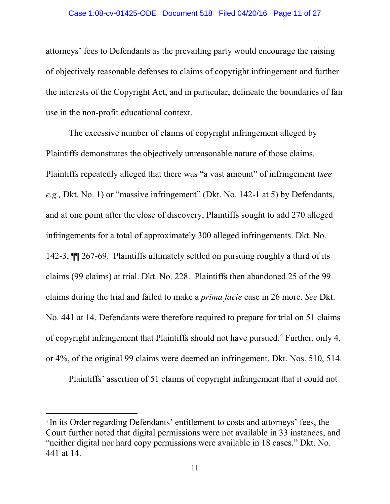#### Case 1:08-cv-01425-ODE Document 518 Filed 04/20/16 Page 11 of 27

attorneys' fees to Defendants as the prevailing party would encourage the raising of objectively reasonable defenses to claims of copyright infringement and further the interests of the Copyright Act, and in particular, delineate the boundaries of fair use in the non-profit educational context.

The excessive number of claims of copyright infringement alleged by Plaintiffs demonstrates the objectively unreasonable nature of those claims. Plaintiffs repeatedly alleged that there was "a vast amount" of infringement (*see e.g.,* Dkt. No. 1) or "massive infringement" (Dkt. No. 142-1 at 5) by Defendants, and at one point after the close of discovery, Plaintiffs sought to add 270 alleged infringements for a total of approximately 300 alleged infringements. Dkt. No. 142-3, ¶¶ 267-69. Plaintiffs ultimately settled on pursuing roughly a third of its claims (99 claims) at trial. Dkt. No. 228. Plaintiffs then abandoned 25 of the 99 claims during the trial and failed to make a *prima facie* case in 26 more. *See* Dkt. No. 441 at 14. Defendants were therefore required to prepare for trial on 51 claims of copyright infringement that Plaintiffs should not have pursued.[4](#page-10-0) Further, only 4, or 4%, of the original 99 claims were deemed an infringement. Dkt. Nos. 510, 514.

Plaintiffs' assertion of 51 claims of copyright infringement that it could not

 $\overline{a}$ 

<span id="page-10-0"></span><sup>4</sup> In its Order regarding Defendants' entitlement to costs and attorneys' fees, the Court further noted that digital permissions were not available in 33 instances, and "neither digital nor hard copy permissions were available in 18 cases." Dkt. No. 441 at 14.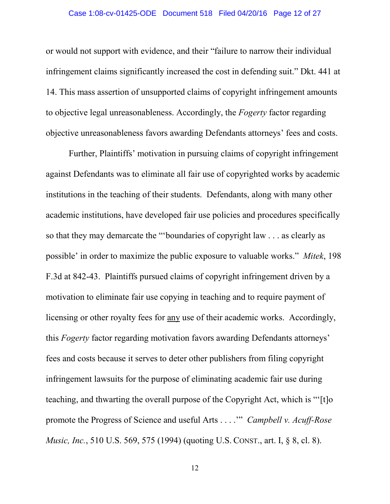#### Case 1:08-cv-01425-ODE Document 518 Filed 04/20/16 Page 12 of 27

or would not support with evidence, and their "failure to narrow their individual infringement claims significantly increased the cost in defending suit." Dkt. 441 at 14. This mass assertion of unsupported claims of copyright infringement amounts to objective legal unreasonableness. Accordingly, the *Fogerty* factor regarding objective unreasonableness favors awarding Defendants attorneys' fees and costs.

Further, Plaintiffs' motivation in pursuing claims of copyright infringement against Defendants was to eliminate all fair use of copyrighted works by academic institutions in the teaching of their students. Defendants, along with many other academic institutions, have developed fair use policies and procedures specifically so that they may demarcate the "'boundaries of copyright law . . . as clearly as possible' in order to maximize the public exposure to valuable works." *Mitek*, 198 F.3d at 842-43. Plaintiffs pursued claims of copyright infringement driven by a motivation to eliminate fair use copying in teaching and to require payment of licensing or other royalty fees for any use of their academic works. Accordingly, this *Fogerty* factor regarding motivation favors awarding Defendants attorneys' fees and costs because it serves to deter other publishers from filing copyright infringement lawsuits for the purpose of eliminating academic fair use during teaching, and thwarting the overall purpose of the Copyright Act, which is "'[t]o promote the Progress of Science and useful Arts . . . .'" *Campbell v. Acuff-Rose Music, Inc.*, 510 U.S. 569, 575 (1994) (quoting U.S. CONST., art. I, § 8, cl. 8).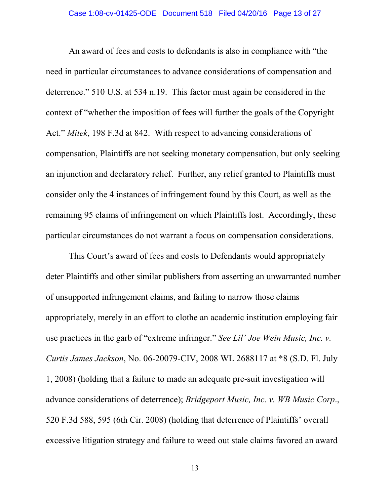An award of fees and costs to defendants is also in compliance with "the need in particular circumstances to advance considerations of compensation and deterrence." 510 U.S. at 534 n.19. This factor must again be considered in the context of "whether the imposition of fees will further the goals of the Copyright Act." *Mitek*, 198 F.3d at 842. With respect to advancing considerations of compensation, Plaintiffs are not seeking monetary compensation, but only seeking an injunction and declaratory relief. Further, any relief granted to Plaintiffs must consider only the 4 instances of infringement found by this Court, as well as the remaining 95 claims of infringement on which Plaintiffs lost. Accordingly, these particular circumstances do not warrant a focus on compensation considerations.

This Court's award of fees and costs to Defendants would appropriately deter Plaintiffs and other similar publishers from asserting an unwarranted number of unsupported infringement claims, and failing to narrow those claims appropriately, merely in an effort to clothe an academic institution employing fair use practices in the garb of "extreme infringer." *See Lil' Joe Wein Music, Inc. v. Curtis James Jackson*, No. 06-20079-CIV, 2008 WL 2688117 at \*8 (S.D. Fl. July 1, 2008) (holding that a failure to made an adequate pre-suit investigation will advance considerations of deterrence); *Bridgeport Music, Inc. v. WB Music Corp*., 520 F.3d 588, 595 (6th Cir. 2008) (holding that deterrence of Plaintiffs' overall excessive litigation strategy and failure to weed out stale claims favored an award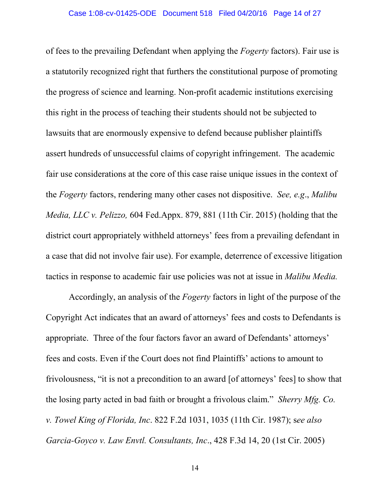of fees to the prevailing Defendant when applying the *Fogerty* factors). Fair use is a statutorily recognized right that furthers the constitutional purpose of promoting the progress of science and learning. Non-profit academic institutions exercising this right in the process of teaching their students should not be subjected to lawsuits that are enormously expensive to defend because publisher plaintiffs assert hundreds of unsuccessful claims of copyright infringement. The academic fair use considerations at the core of this case raise unique issues in the context of the *Fogerty* factors, rendering many other cases not dispositive. *See, e.g*., *Malibu Media, LLC v. Pelizzo,* 604 Fed.Appx. 879, 881 (11th Cir. 2015) (holding that the district court appropriately withheld attorneys' fees from a prevailing defendant in a case that did not involve fair use). For example, deterrence of excessive litigation tactics in response to academic fair use policies was not at issue in *Malibu Media.*

Accordingly, an analysis of the *Fogerty* factors in light of the purpose of the Copyright Act indicates that an award of attorneys' fees and costs to Defendants is appropriate. Three of the four factors favor an award of Defendants' attorneys' fees and costs. Even if the Court does not find Plaintiffs' actions to amount to frivolousness, "it is not a precondition to an award [of attorneys' fees] to show that the losing party acted in bad faith or brought a frivolous claim." *Sherry Mfg. Co. v. Towel King of Florida, Inc*. 822 F.2d 1031, 1035 (11th Cir. 1987); s*ee also Garcia-Goyco v. Law Envtl. Consultants, Inc*., 428 F.3d 14, 20 (1st Cir. 2005)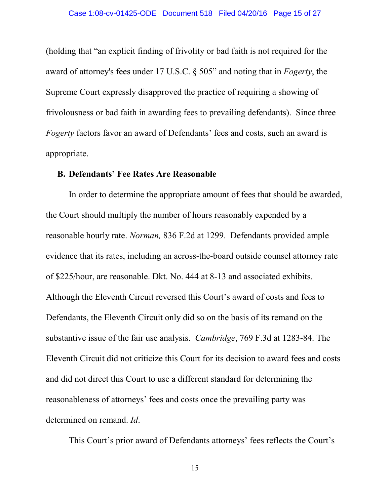(holding that "an explicit finding of frivolity or bad faith is not required for the award of attorney's fees under 17 U.S.C. § 505" and noting that in *Fogerty*, the Supreme Court expressly disapproved the practice of requiring a showing of frivolousness or bad faith in awarding fees to prevailing defendants). Since three *Fogerty* factors favor an award of Defendants' fees and costs, such an award is appropriate.

#### **B. Defendants' Fee Rates Are Reasonable**

In order to determine the appropriate amount of fees that should be awarded, the Court should multiply the number of hours reasonably expended by a reasonable hourly rate. *Norman,* 836 F.2d at 1299. Defendants provided ample evidence that its rates, including an across-the-board outside counsel attorney rate of \$225/hour, are reasonable. Dkt. No. 444 at 8-13 and associated exhibits. Although the Eleventh Circuit reversed this Court's award of costs and fees to Defendants, the Eleventh Circuit only did so on the basis of its remand on the substantive issue of the fair use analysis. *Cambridge*, 769 F.3d at 1283-84. The Eleventh Circuit did not criticize this Court for its decision to award fees and costs and did not direct this Court to use a different standard for determining the reasonableness of attorneys' fees and costs once the prevailing party was determined on remand. *Id*.

This Court's prior award of Defendants attorneys' fees reflects the Court's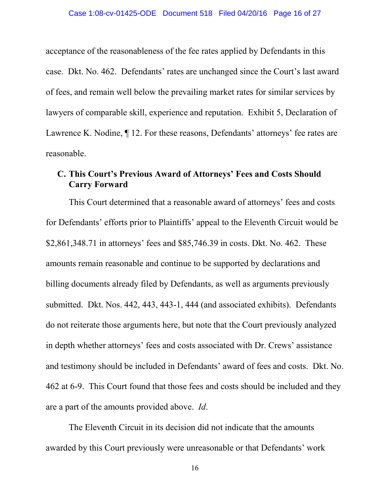acceptance of the reasonableness of the fee rates applied by Defendants in this case. Dkt. No. 462. Defendants' rates are unchanged since the Court's last award of fees, and remain well below the prevailing market rates for similar services by lawyers of comparable skill, experience and reputation. Exhibit 5, Declaration of Lawrence K. Nodine, ¶ 12. For these reasons, Defendants' attorneys' fee rates are reasonable.

### **C. This Court's Previous Award of Attorneys' Fees and Costs Should Carry Forward**

This Court determined that a reasonable award of attorneys' fees and costs for Defendants' efforts prior to Plaintiffs' appeal to the Eleventh Circuit would be \$2,861,348.71 in attorneys' fees and \$85,746.39 in costs. Dkt. No. 462. These amounts remain reasonable and continue to be supported by declarations and billing documents already filed by Defendants, as well as arguments previously submitted. Dkt. Nos. 442, 443, 443-1, 444 (and associated exhibits). Defendants do not reiterate those arguments here, but note that the Court previously analyzed in depth whether attorneys' fees and costs associated with Dr. Crews' assistance and testimony should be included in Defendants' award of fees and costs. Dkt. No. 462 at 6-9. This Court found that those fees and costs should be included and they are a part of the amounts provided above. *Id*.

The Eleventh Circuit in its decision did not indicate that the amounts awarded by this Court previously were unreasonable or that Defendants' work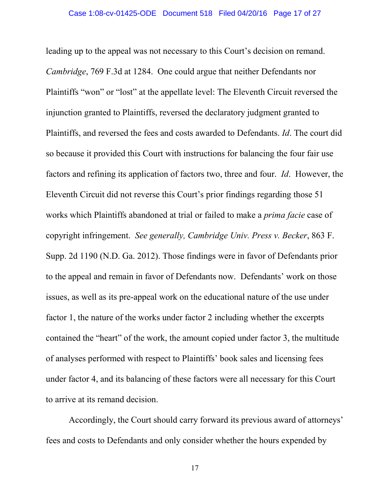leading up to the appeal was not necessary to this Court's decision on remand. *Cambridge*, 769 F.3d at 1284. One could argue that neither Defendants nor Plaintiffs "won" or "lost" at the appellate level: The Eleventh Circuit reversed the injunction granted to Plaintiffs, reversed the declaratory judgment granted to Plaintiffs, and reversed the fees and costs awarded to Defendants. *Id*. The court did so because it provided this Court with instructions for balancing the four fair use factors and refining its application of factors two, three and four. *Id*. However, the Eleventh Circuit did not reverse this Court's prior findings regarding those 51 works which Plaintiffs abandoned at trial or failed to make a *prima facie* case of copyright infringement. *See generally, Cambridge Univ. Press v. Becker*, 863 F. Supp. 2d 1190 (N.D. Ga. 2012). Those findings were in favor of Defendants prior to the appeal and remain in favor of Defendants now. Defendants' work on those issues, as well as its pre-appeal work on the educational nature of the use under factor 1, the nature of the works under factor 2 including whether the excerpts contained the "heart" of the work, the amount copied under factor 3, the multitude of analyses performed with respect to Plaintiffs' book sales and licensing fees under factor 4, and its balancing of these factors were all necessary for this Court to arrive at its remand decision.

Accordingly, the Court should carry forward its previous award of attorneys' fees and costs to Defendants and only consider whether the hours expended by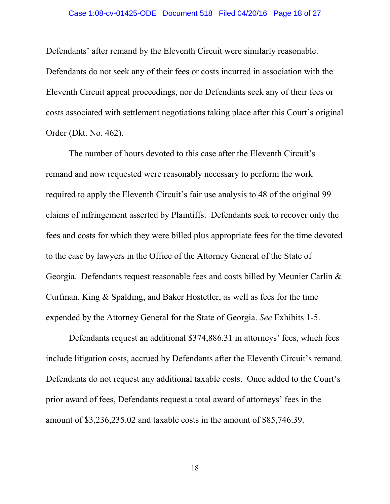#### Case 1:08-cv-01425-ODE Document 518 Filed 04/20/16 Page 18 of 27

Defendants' after remand by the Eleventh Circuit were similarly reasonable. Defendants do not seek any of their fees or costs incurred in association with the Eleventh Circuit appeal proceedings, nor do Defendants seek any of their fees or costs associated with settlement negotiations taking place after this Court's original Order (Dkt. No. 462).

The number of hours devoted to this case after the Eleventh Circuit's remand and now requested were reasonably necessary to perform the work required to apply the Eleventh Circuit's fair use analysis to 48 of the original 99 claims of infringement asserted by Plaintiffs. Defendants seek to recover only the fees and costs for which they were billed plus appropriate fees for the time devoted to the case by lawyers in the Office of the Attorney General of the State of Georgia. Defendants request reasonable fees and costs billed by Meunier Carlin & Curfman, King & Spalding, and Baker Hostetler, as well as fees for the time expended by the Attorney General for the State of Georgia. *See* Exhibits 1-5.

Defendants request an additional \$374,886.31 in attorneys' fees, which fees include litigation costs, accrued by Defendants after the Eleventh Circuit's remand. Defendants do not request any additional taxable costs. Once added to the Court's prior award of fees, Defendants request a total award of attorneys' fees in the amount of \$3,236,235.02 and taxable costs in the amount of \$85,746.39.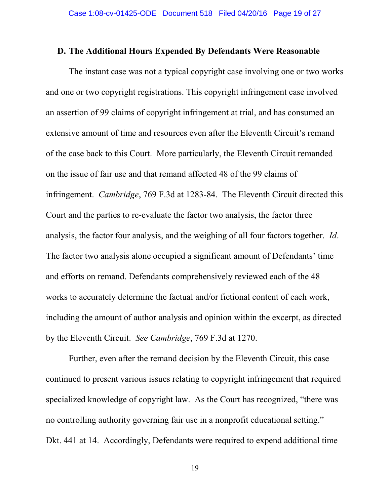### **D. The Additional Hours Expended By Defendants Were Reasonable**

The instant case was not a typical copyright case involving one or two works and one or two copyright registrations. This copyright infringement case involved an assertion of 99 claims of copyright infringement at trial, and has consumed an extensive amount of time and resources even after the Eleventh Circuit's remand of the case back to this Court. More particularly, the Eleventh Circuit remanded on the issue of fair use and that remand affected 48 of the 99 claims of infringement. *Cambridge*, 769 F.3d at 1283-84. The Eleventh Circuit directed this Court and the parties to re-evaluate the factor two analysis, the factor three analysis, the factor four analysis, and the weighing of all four factors together. *Id*. The factor two analysis alone occupied a significant amount of Defendants' time and efforts on remand. Defendants comprehensively reviewed each of the 48 works to accurately determine the factual and/or fictional content of each work, including the amount of author analysis and opinion within the excerpt, as directed by the Eleventh Circuit. *See Cambridge*, 769 F.3d at 1270.

Further, even after the remand decision by the Eleventh Circuit, this case continued to present various issues relating to copyright infringement that required specialized knowledge of copyright law. As the Court has recognized, "there was no controlling authority governing fair use in a nonprofit educational setting." Dkt. 441 at 14. Accordingly, Defendants were required to expend additional time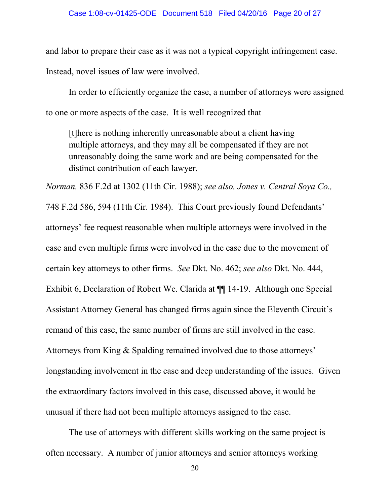and labor to prepare their case as it was not a typical copyright infringement case.

Instead, novel issues of law were involved.

In order to efficiently organize the case, a number of attorneys were assigned to one or more aspects of the case. It is well recognized that

[t]here is nothing inherently unreasonable about a client having multiple attorneys, and they may all be compensated if they are not unreasonably doing the same work and are being compensated for the distinct contribution of each lawyer.

*Norman,* 836 F.2d at 1302 (11th Cir. 1988); *see also, Jones v. Central Soya Co.,* 748 F.2d 586, 594 (11th Cir. 1984). This Court previously found Defendants' attorneys' fee request reasonable when multiple attorneys were involved in the case and even multiple firms were involved in the case due to the movement of certain key attorneys to other firms. *See* Dkt. No. 462; *see also* Dkt. No. 444, Exhibit 6, Declaration of Robert We. Clarida at ¶¶ 14-19. Although one Special Assistant Attorney General has changed firms again since the Eleventh Circuit's remand of this case, the same number of firms are still involved in the case. Attorneys from King & Spalding remained involved due to those attorneys' longstanding involvement in the case and deep understanding of the issues. Given the extraordinary factors involved in this case, discussed above, it would be unusual if there had not been multiple attorneys assigned to the case.

The use of attorneys with different skills working on the same project is often necessary. A number of junior attorneys and senior attorneys working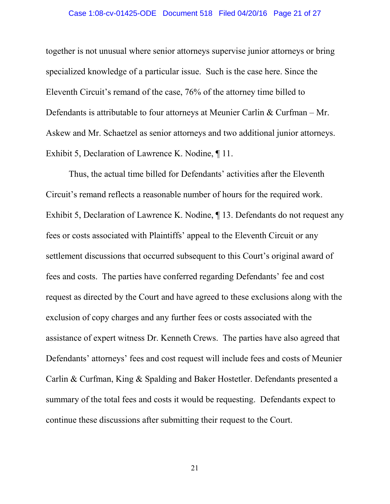#### Case 1:08-cv-01425-ODE Document 518 Filed 04/20/16 Page 21 of 27

together is not unusual where senior attorneys supervise junior attorneys or bring specialized knowledge of a particular issue. Such is the case here. Since the Eleventh Circuit's remand of the case, 76% of the attorney time billed to Defendants is attributable to four attorneys at Meunier Carlin & Curfman – Mr. Askew and Mr. Schaetzel as senior attorneys and two additional junior attorneys. Exhibit 5, Declaration of Lawrence K. Nodine, ¶ 11.

Thus, the actual time billed for Defendants' activities after the Eleventh Circuit's remand reflects a reasonable number of hours for the required work. Exhibit 5, Declaration of Lawrence K. Nodine, ¶ 13. Defendants do not request any fees or costs associated with Plaintiffs' appeal to the Eleventh Circuit or any settlement discussions that occurred subsequent to this Court's original award of fees and costs. The parties have conferred regarding Defendants' fee and cost request as directed by the Court and have agreed to these exclusions along with the exclusion of copy charges and any further fees or costs associated with the assistance of expert witness Dr. Kenneth Crews. The parties have also agreed that Defendants' attorneys' fees and cost request will include fees and costs of Meunier Carlin & Curfman, King & Spalding and Baker Hostetler. Defendants presented a summary of the total fees and costs it would be requesting. Defendants expect to continue these discussions after submitting their request to the Court.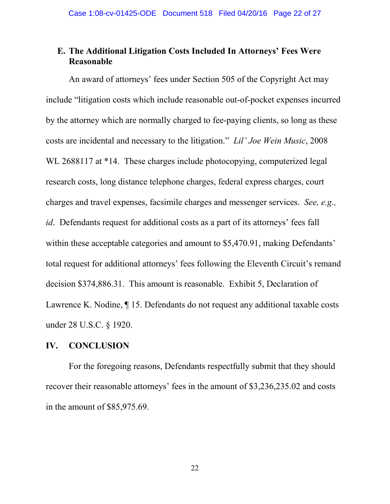## **E. The Additional Litigation Costs Included In Attorneys' Fees Were Reasonable**

An award of attorneys' fees under Section 505 of the Copyright Act may include "litigation costs which include reasonable out-of-pocket expenses incurred by the attorney which are normally charged to fee-paying clients, so long as these costs are incidental and necessary to the litigation." *Lil' Joe Wein Music*, 2008 WL 2688117 at \*14. These charges include photocopying, computerized legal research costs, long distance telephone charges, federal express charges, court charges and travel expenses, facsimile charges and messenger services. *See, e.g., id*. Defendants request for additional costs as a part of its attorneys' fees fall within these acceptable categories and amount to \$5,470.91, making Defendants' total request for additional attorneys' fees following the Eleventh Circuit's remand decision \$374,886.31. This amount is reasonable. Exhibit 5, Declaration of Lawrence K. Nodine, ¶ 15. Defendants do not request any additional taxable costs under 28 U.S.C. § 1920.

### **IV. CONCLUSION**

For the foregoing reasons, Defendants respectfully submit that they should recover their reasonable attorneys' fees in the amount of \$3,236,235.02 and costs in the amount of \$85,975.69.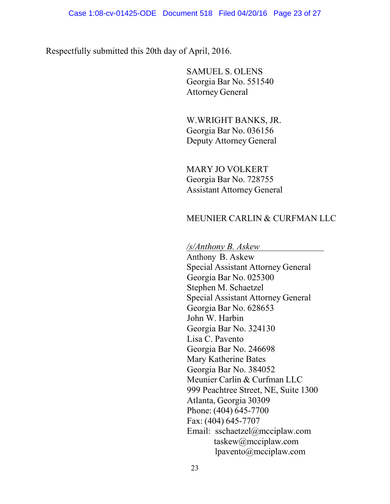Respectfully submitted this 20th day of April, 2016.

SAMUEL S. OLENS Georgia Bar No. 551540 Attorney General

W.WRIGHT BANKS, JR. Georgia Bar No. 036156 Deputy Attorney General

MARY JO VOLKERT Georgia Bar No. 728755 Assistant Attorney General

### MEUNIER CARLIN & CURFMAN LLC

*/s/Anthony B. Askew*

Anthony B. Askew Special Assistant Attorney General Georgia Bar No. 025300 Stephen M. Schaetzel Special Assistant Attorney General Georgia Bar No. 628653 John W. Harbin Georgia Bar No. 324130 Lisa C. Pavento Georgia Bar No. 246698 Mary Katherine Bates Georgia Bar No. 384052 Meunier Carlin & Curfman LLC 999 Peachtree Street, NE, Suite 1300 Atlanta, Georgia 30309 Phone: (404) 645-7700 Fax: (404) 645-7707 Email: sschaetzel@mcciplaw.com taskew@mcciplaw.com lpavento@mcciplaw.com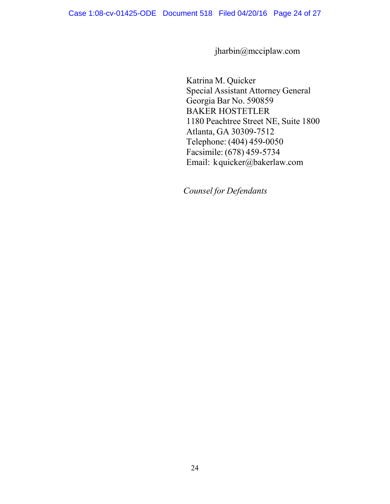jharbin@mcciplaw.com

Katrina M. Quicker Special Assistant Attorney General Georgia Bar No. 590859 BAKER HOSTETLER 1180 Peachtree Street NE, Suite 1800 Atlanta, GA 30309-7512 Telephone: (404) 459-0050 Facsimile: (678) 459-5734 Email: [kquicker@bakerlaw.com](mailto:quickerk@ballardspahr.com)

*Counsel for Defendants*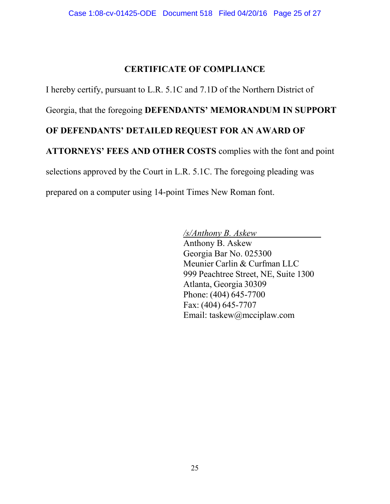# **CERTIFICATE OF COMPLIANCE**

I hereby certify, pursuant to L.R. 5.1C and 7.1D of the Northern District of

Georgia, that the foregoing **DEFENDANTS' MEMORANDUM IN SUPPORT** 

## **OF DEFENDANTS' DETAILED REQUEST FOR AN AWARD OF**

**ATTORNEYS' FEES AND OTHER COSTS** complies with the font and point

selections approved by the Court in L.R. 5.1C. The foregoing pleading was

prepared on a computer using 14-point Times New Roman font.

*/s/Anthony B. Askew* Anthony B. Askew Georgia Bar No. 025300 Meunier Carlin & Curfman LLC 999 Peachtree Street, NE, Suite 1300 Atlanta, Georgia 30309 Phone: (404) 645-7700 Fax: (404) 645-7707 Email: taskew@mcciplaw.com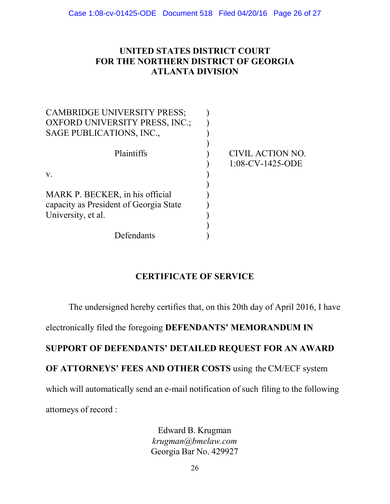## **UNITED STATES DISTRICT COURT FOR THE NORTHERN DISTRICT OF GEORGIA ATLANTA DIVISION**

| <b>CAMBRIDGE UNIVERSITY PRESS;</b>                                        |                                         |
|---------------------------------------------------------------------------|-----------------------------------------|
| <b>OXFORD UNIVERSITY PRESS, INC.;</b>                                     |                                         |
| SAGE PUBLICATIONS, INC.,                                                  |                                         |
| Plaintiffs                                                                | CIVIL ACTION NO.<br>$1:08$ -CV-1425-ODE |
| V.                                                                        |                                         |
| MARK P. BECKER, in his official<br>capacity as President of Georgia State |                                         |
| University, et al.                                                        |                                         |
|                                                                           |                                         |
| Defendants                                                                |                                         |

## **CERTIFICATE OF SERVICE**

The undersigned hereby certifies that, on this 20th day of April 2016, I have

electronically filed the foregoing **DEFENDANTS' MEMORANDUM IN** 

# **SUPPORT OF DEFENDANTS' DETAILED REQUEST FOR AN AWARD**

# **OF ATTORNEYS' FEES AND OTHER COSTS** using the CM/ECF system

which will automatically send an e-mail notification of such filing to the following

attorneys of record :

Edward B. Krugman *[krugman@bmelaw.com](mailto:krugman@bmelaw.com)* Georgia Bar No. 429927